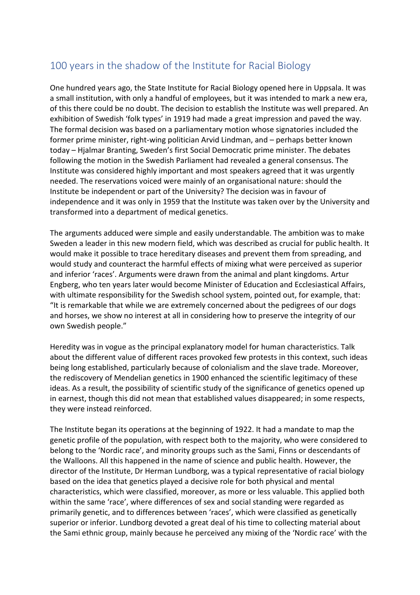## 100 years in the shadow of the Institute for Racial Biology

One hundred years ago, the State Institute for Racial Biology opened here in Uppsala. It was a small institution, with only a handful of employees, but it was intended to mark a new era, of this there could be no doubt. The decision to establish the Institute was well prepared. An exhibition of Swedish 'folk types' in 1919 had made a great impression and paved the way. The formal decision was based on a parliamentary motion whose signatories included the former prime minister, right-wing politician Arvid Lindman, and – perhaps better known today – Hjalmar Branting, Sweden's first Social Democratic prime minister. The debates following the motion in the Swedish Parliament had revealed a general consensus. The Institute was considered highly important and most speakers agreed that it was urgently needed. The reservations voiced were mainly of an organisational nature: should the Institute be independent or part of the University? The decision was in favour of independence and it was only in 1959 that the Institute was taken over by the University and transformed into a department of medical genetics.

The arguments adduced were simple and easily understandable. The ambition was to make Sweden a leader in this new modern field, which was described as crucial for public health. It would make it possible to trace hereditary diseases and prevent them from spreading, and would study and counteract the harmful effects of mixing what were perceived as superior and inferior 'races'. Arguments were drawn from the animal and plant kingdoms. Artur Engberg, who ten years later would become Minister of Education and Ecclesiastical Affairs, with ultimate responsibility for the Swedish school system, pointed out, for example, that: "It is remarkable that while we are extremely concerned about the pedigrees of our dogs and horses, we show no interest at all in considering how to preserve the integrity of our own Swedish people."

Heredity was in vogue as the principal explanatory model for human characteristics. Talk about the different value of different races provoked few protests in this context, such ideas being long established, particularly because of colonialism and the slave trade. Moreover, the rediscovery of Mendelian genetics in 1900 enhanced the scientific legitimacy of these ideas. As a result, the possibility of scientific study of the significance of genetics opened up in earnest, though this did not mean that established values disappeared; in some respects, they were instead reinforced.

The Institute began its operations at the beginning of 1922. It had a mandate to map the genetic profile of the population, with respect both to the majority, who were considered to belong to the 'Nordic race', and minority groups such as the Sami, Finns or descendants of the Walloons. All this happened in the name of science and public health. However, the director of the Institute, Dr Herman Lundborg, was a typical representative of racial biology based on the idea that genetics played a decisive role for both physical and mental characteristics, which were classified, moreover, as more or less valuable. This applied both within the same 'race', where differences of sex and social standing were regarded as primarily genetic, and to differences between 'races', which were classified as genetically superior or inferior. Lundborg devoted a great deal of his time to collecting material about the Sami ethnic group, mainly because he perceived any mixing of the 'Nordic race' with the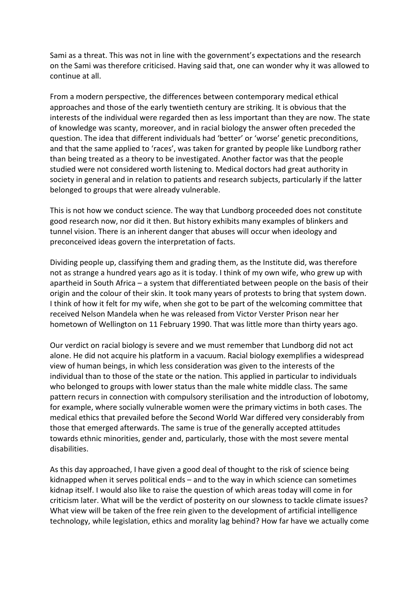Sami as a threat. This was not in line with the government's expectations and the research on the Sami was therefore criticised. Having said that, one can wonder why it was allowed to continue at all.

From a modern perspective, the differences between contemporary medical ethical approaches and those of the early twentieth century are striking. It is obvious that the interests of the individual were regarded then as less important than they are now. The state of knowledge was scanty, moreover, and in racial biology the answer often preceded the question. The idea that different individuals had 'better' or 'worse' genetic preconditions, and that the same applied to 'races', was taken for granted by people like Lundborg rather than being treated as a theory to be investigated. Another factor was that the people studied were not considered worth listening to. Medical doctors had great authority in society in general and in relation to patients and research subjects, particularly if the latter belonged to groups that were already vulnerable.

This is not how we conduct science. The way that Lundborg proceeded does not constitute good research now, nor did it then. But history exhibits many examples of blinkers and tunnel vision. There is an inherent danger that abuses will occur when ideology and preconceived ideas govern the interpretation of facts.

Dividing people up, classifying them and grading them, as the Institute did, was therefore not as strange a hundred years ago as it is today. I think of my own wife, who grew up with apartheid in South Africa – a system that differentiated between people on the basis of their origin and the colour of their skin. It took many years of protests to bring that system down. I think of how it felt for my wife, when she got to be part of the welcoming committee that received Nelson Mandela when he was released from Victor Verster Prison near her hometown of Wellington on 11 February 1990. That was little more than thirty years ago.

Our verdict on racial biology is severe and we must remember that Lundborg did not act alone. He did not acquire his platform in a vacuum. Racial biology exemplifies a widespread view of human beings, in which less consideration was given to the interests of the individual than to those of the state or the nation. This applied in particular to individuals who belonged to groups with lower status than the male white middle class. The same pattern recurs in connection with compulsory sterilisation and the introduction of lobotomy, for example, where socially vulnerable women were the primary victims in both cases. The medical ethics that prevailed before the Second World War differed very considerably from those that emerged afterwards. The same is true of the generally accepted attitudes towards ethnic minorities, gender and, particularly, those with the most severe mental disabilities.

As this day approached, I have given a good deal of thought to the risk of science being kidnapped when it serves political ends – and to the way in which science can sometimes kidnap itself. I would also like to raise the question of which areas today will come in for criticism later. What will be the verdict of posterity on our slowness to tackle climate issues? What view will be taken of the free rein given to the development of artificial intelligence technology, while legislation, ethics and morality lag behind? How far have we actually come